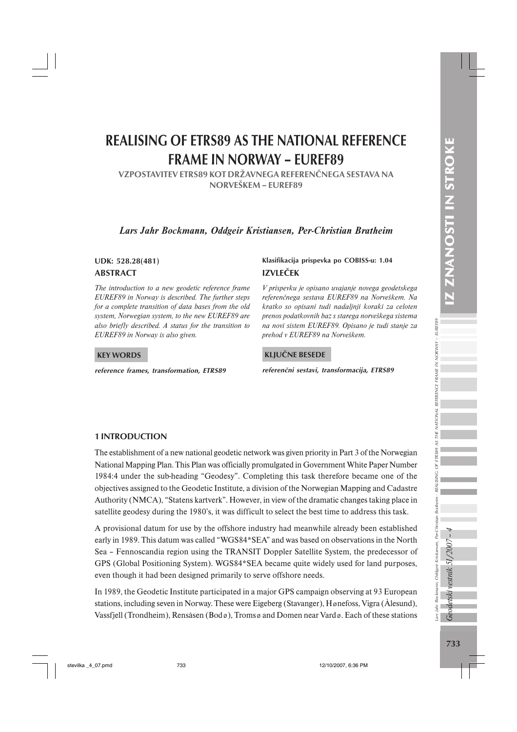ars Jahr Bockmann, Oddgeir Kristiansen, Per-Christian I

Lars Jahr Bockmann, Oddgeir Kristiansen, Per-Christian Bratheim - REALISING OF ETRS89 AS THE NATIONAL REFERENCE FRAME IN NORWAY – EUREF89

Bratheim - REALISING OF ETRS89 AS

THE NATIONAL

REFERENCE FRAME IN NORWAY - EUREF89

# REALISING OF ETRS89 AS THE NATIONAL REFERENCE FRAME IN NORWAY – EUREF89

VZPOSTAVITEV ETRS89 KOT DRŽAVNEGA REFERENČNEGA SESTAVA NA NORVEŠKEM – EUREF89

## *Lars Jahr Bockmann, Oddgeir Kristiansen, Per-Christian Bratheim*

# ABSTRACT

*The introduction to a new geodetic reference frame EUREF89 in Norway is described. The further steps for a complete transition of data bases from the old system, Norwegian system, to the new EUREF89 are also briefly described. A status for the transition to EUREF89 in Norway is also given.*

#### KEY WORDS

reference frames, transformation, ETRS89

#### IZVLEČEK UDK: 528.28(481) Klasifikacija prispevka po COBISS-u: 1.04

*V prispevku je opisano uvajanje novega geodetskega referenčnega sestava EUREF89 na Norveškem. Na kratko so opisani tudi nadaljnji koraki za celoten prenos podatkovnih baz s starega norveškega sistema na novi sistem EUREF89. Opisano je tudi stanje za prehod v EUREF89 na Norveškem.*

#### KLJUČNE BESEDE

referenčni sestavi, transformacija, ETRS89

#### 1 INTRODUCTION

The establishment of a new national geodetic network was given priority in Part 3 of the Norwegian National Mapping Plan. This Plan was officially promulgated in Government White Paper Number 1984:4 under the sub-heading "Geodesy". Completing this task therefore became one of the objectives assigned to the Geodetic Institute, a division of the Norwegian Mapping and Cadastre Authority (NMCA), "Statens kartverk". However, in view of the dramatic changes taking place in satellite geodesy during the 1980's, it was difficult to select the best time to address this task.

A provisional datum for use by the offshore industry had meanwhile already been established early in 1989. This datum was called "WGS84\*SEA" and was based on observations in the North Sea – Fennoscandia region using the TRANSIT Doppler Satellite System, the predecessor of GPS (Global Positioning System). WGS84\*SEA became quite widely used for land purposes, even though it had been designed primarily to serve offshore needs.

In 1989, the Geodetic Institute participated in a major GPS campaign observing at 93 European stations, including seven in Norway. These were Eigeberg (Stavanger), Hønefoss, Vigra (Ålesund), Vassfiell (Trondheim), Rensåsen (Bodø), Tromsø and Domen near Vardø. Each of these stations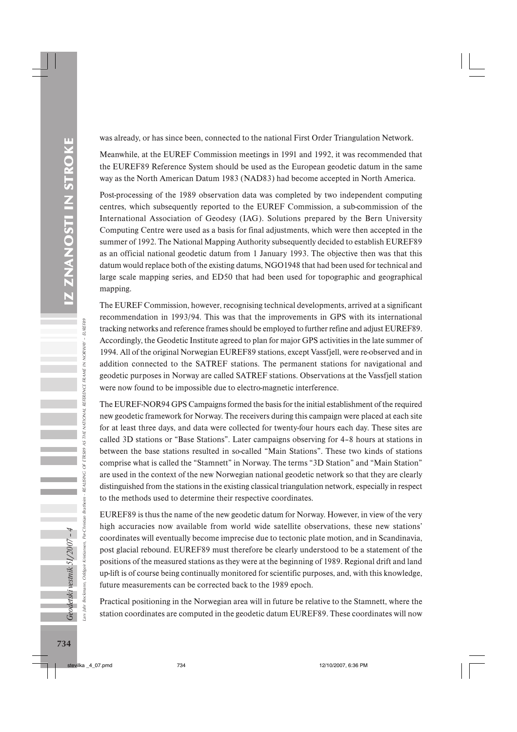IZ ZNANOSTI IN STROKE 734 *Geodetski vestnik 51/2007 – 4* IZ ZNANOSTI IN STROKE was already, or has since been, connected to the national First Order Triangulation Network.

Meanwhile, at the EUREF Commission meetings in 1991 and 1992, it was recommended that the EUREF89 Reference System should be used as the European geodetic datum in the same way as the North American Datum 1983 (NAD83) had become accepted in North America.

Post-processing of the 1989 observation data was completed by two independent computing centres, which subsequently reported to the EUREF Commission, a sub-commission of the International Association of Geodesy (IAG). Solutions prepared by the Bern University Computing Centre were used as a basis for final adjustments, which were then accepted in the summer of 1992. The National Mapping Authority subsequently decided to establish EUREF89 as an official national geodetic datum from 1 January 1993. The objective then was that this datum would replace both of the existing datums, NGO1948 that had been used for technical and large scale mapping series, and ED50 that had been used for topographic and geographical mapping.

The EUREF Commission, however, recognising technical developments, arrived at a significant recommendation in 1993/94. This was that the improvements in GPS with its international tracking networks and reference frames should be employed to further refine and adjust EUREF89. Accordingly, the Geodetic Institute agreed to plan for major GPS activities in the late summer of 1994. All of the original Norwegian EUREF89 stations, except Vassfjell, were re-observed and in addition connected to the SATREF stations. The permanent stations for navigational and geodetic purposes in Norway are called SATREF stations. Observations at the Vassfjell station were now found to be impossible due to electro-magnetic interference.

The EUREF-NOR94 GPS Campaigns formed the basis for the initial establishment of the required new geodetic framework for Norway. The receivers during this campaign were placed at each site for at least three days, and data were collected for twenty-four hours each day. These sites are called 3D stations or "Base Stations". Later campaigns observing for 4–8 hours at stations in between the base stations resulted in so-called "Main Stations". These two kinds of stations comprise what is called the "Stamnett" in Norway. The terms "3D Station" and "Main Station" are used in the context of the new Norwegian national geodetic network so that they are clearly distinguished from the stations in the existing classical triangulation network, especially in respect to the methods used to determine their respective coordinates.

EUREF89 is thus the name of the new geodetic datum for Norway. However, in view of the very high accuracies now available from world wide satellite observations, these new stations' coordinates will eventually become imprecise due to tectonic plate motion, and in Scandinavia, post glacial rebound. EUREF89 must therefore be clearly understood to be a statement of the positions of the measured stations as they were at the beginning of 1989. Regional drift and land up-lift is of course being continually monitored for scientific purposes, and, with this knowledge, future measurements can be corrected back to the 1989 epoch.

Practical positioning in the Norwegian area will in future be relative to the Stamnett, where the station coordinates are computed in the geodetic datum EUREF89. These coordinates will now

Lars Jahr Bockmann, Oddgeir Kristiansen, Per-Christian Bratheim - REALISING OF ETRS89 AS THE NATIONAL REFERENCE FRAME IN NORWAY – EUREF89

ann, Oddgeir Kristiansen, Per-Christian

ars Jahr Bockma

Geodetski vestnik 51/2007 - 4

Bratheim - REALISING OF ETRS89 AS THE NATIONAL REFERENCE FRAME IN NORWAY

 $-$  EUREF89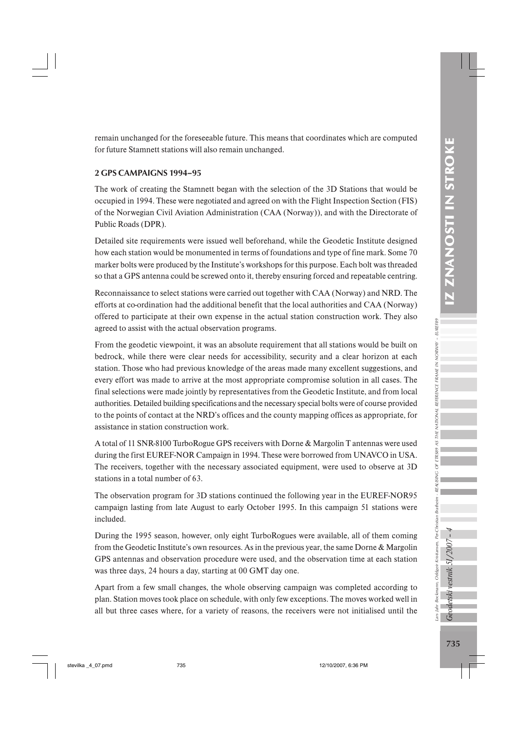remain unchanged for the foreseeable future. This means that coordinates which are computed for future Stamnett stations will also remain unchanged.

## 2 GPS CAMPAIGNS 1994–95

The work of creating the Stamnett began with the selection of the 3D Stations that would be occupied in 1994. These were negotiated and agreed on with the Flight Inspection Section (FIS) of the Norwegian Civil Aviation Administration (CAA (Norway)), and with the Directorate of Public Roads (DPR).

Detailed site requirements were issued well beforehand, while the Geodetic Institute designed how each station would be monumented in terms of foundations and type of fine mark. Some 70 marker bolts were produced by the Institute's workshops for this purpose. Each bolt was threaded so that a GPS antenna could be screwed onto it, thereby ensuring forced and repeatable centring.

Reconnaissance to select stations were carried out together with CAA (Norway) and NRD. The efforts at co-ordination had the additional benefit that the local authorities and CAA (Norway) offered to participate at their own expense in the actual station construction work. They also agreed to assist with the actual observation programs.

From the geodetic viewpoint, it was an absolute requirement that all stations would be built on bedrock, while there were clear needs for accessibility, security and a clear horizon at each station. Those who had previous knowledge of the areas made many excellent suggestions, and every effort was made to arrive at the most appropriate compromise solution in all cases. The final selections were made jointly by representatives from the Geodetic Institute, and from local authorities. Detailed building specifications and the necessary special bolts were of course provided to the points of contact at the NRD's offices and the county mapping offices as appropriate, for assistance in station construction work.

A total of 11 SNR-8100 TurboRogue GPS receivers with Dorne & Margolin T antennas were used during the first EUREF-NOR Campaign in 1994. These were borrowed from UNAVCO in USA. The receivers, together with the necessary associated equipment, were used to observe at 3D stations in a total number of 63.

The observation program for 3D stations continued the following year in the EUREF-NOR95 campaign lasting from late August to early October 1995. In this campaign 51 stations were included.

During the 1995 season, however, only eight TurboRogues were available, all of them coming from the Geodetic Institute's own resources. As in the previous year, the same Dorne & Margolin GPS antennas and observation procedure were used, and the observation time at each station was three days, 24 hours a day, starting at 00 GMT day one.

Apart from a few small changes, the whole observing campaign was completed according to plan. Station moves took place on schedule, with only few exceptions. The moves worked well in all but three cases where, for a variety of reasons, the receivers were not initialised until the Lars Jahr Bockmann, Oddgeir Kristiansen, Per-Christian Bratheim - REALISING OF ETRS89 AS THE NATIONAL REFERENCE FRAME IN NORWAY – EUREF89

Bratheim - REALISING OF ETRS89 AS

tars Jahr Bockmann, Oddgeir Kristiansen, Per-Christian I<br>**Geodetski vestnik 51/2007 – 4** 

THE NATIONAL REFERENCE FRAME IN NORWAY - EUREF89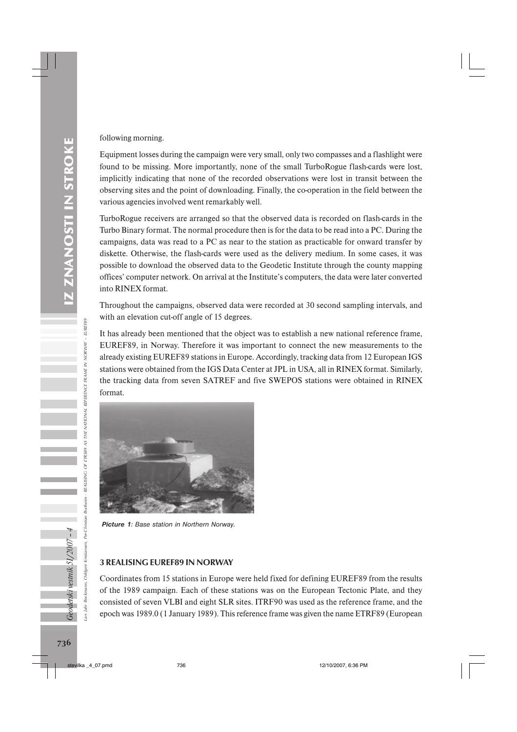following morning.

Equipment losses during the campaign were very small, only two compasses and a flashlight were found to be missing. More importantly, none of the small TurboRogue flash-cards were lost, implicitly indicating that none of the recorded observations were lost in transit between the observing sites and the point of downloading. Finally, the co-operation in the field between the various agencies involved went remarkably well.

TurboRogue receivers are arranged so that the observed data is recorded on flash-cards in the Turbo Binary format. The normal procedure then is for the data to be read into a PC. During the campaigns, data was read to a PC as near to the station as practicable for onward transfer by diskette. Otherwise, the flash-cards were used as the delivery medium. In some cases, it was possible to download the observed data to the Geodetic Institute through the county mapping offices' computer network. On arrival at the Institute's computers, the data were later converted into RINEX format.

Throughout the campaigns, observed data were recorded at 30 second sampling intervals, and with an elevation cut-off angle of 15 degrees.

It has already been mentioned that the object was to establish a new national reference frame, EUREF89, in Norway. Therefore it was important to connect the new measurements to the already existing EUREF89 stations in Europe. Accordingly, tracking data from 12 European IGS stations were obtained from the IGS Data Center at JPL in USA, all in RINEX format. Similarly, the tracking data from seven SATREF and five SWEPOS stations were obtained in RINEX format.



*Picture 1: Base station in Northern Norway.*

## 3 REALISING EUREF89 IN NORWAY

Coordinates from 15 stations in Europe were held fixed for defining EUREF89 from the results of the 1989 campaign. Each of these stations was on the European Tectonic Plate, and they consisted of seven VLBI and eight SLR sites. ITRF90 was used as the reference frame, and the epoch was 1989.0 (1 January 1989). This reference frame was given the name ETRF89 (European

Geodetski vestnik 51/2007 - 4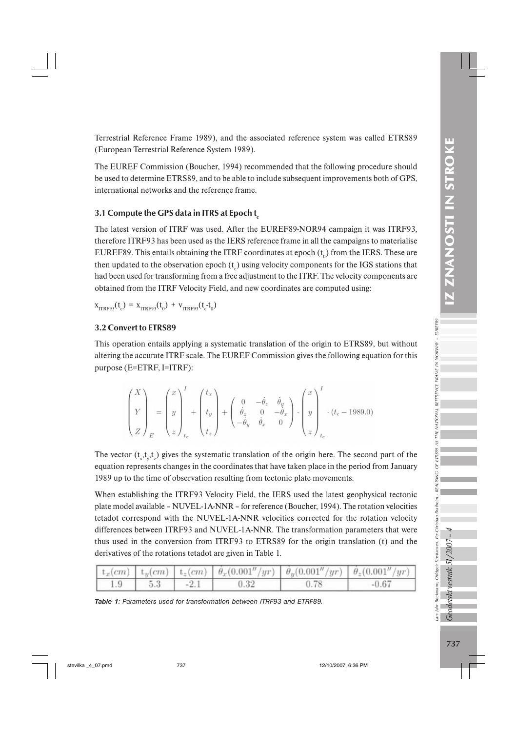Lars Jahr Bockmann, Oddgeir Kristiansen, Per-Christian Bratheim - REALISING OF ETRS89 AS THE NATIONAL REFERENCE FRAME IN NORWAY – EUREF89

THE NATIONAL REFERENCE FRAME IN NORWAY - EUREF89

Terrestrial Reference Frame 1989), and the associated reference system was called ETRS89 (European Terrestrial Reference System 1989).

The EUREF Commission (Boucher, 1994) recommended that the following procedure should be used to determine ETRS89, and to be able to include subsequent improvements both of GPS, international networks and the reference frame.

# 3.1 Compute the GPS data in ITRS at Epoch  $t_c$

The latest version of ITRF was used. After the EUREF89-NOR94 campaign it was ITRF93, therefore ITRF93 has been used as the IERS reference frame in all the campaigns to materialise EUREF89. This entails obtaining the ITRF coordinates at epoch  $(t_0)$  from the IERS. These are then updated to the observation epoch  $(t_c)$  using velocity components for the IGS stations that had been used for transforming from a free adjustment to the ITRF. The velocity components are obtained from the ITRF Velocity Field, and new coordinates are computed using:

 $X_{ITRF93}(t_c) = X_{ITRF93}(t_0) + V_{ITRF93}(t_c-t_0)$ 

## 3.2 Convert to ETRS89

This operation entails applying a systematic translation of the origin to ETRS89, but without altering the accurate ITRF scale. The EUREF Commission gives the following equation for this purpose (E=ETRF, I=ITRF):

$$
\begin{pmatrix} X \\ Y \\ Z \end{pmatrix}_{E} = \begin{pmatrix} x \\ y \\ z \end{pmatrix}_{t_c}^{I} + \begin{pmatrix} t_x \\ t_y \\ t_z \end{pmatrix} + \begin{pmatrix} 0 & -\dot{\theta}_z & \dot{\theta}_y \\ \dot{\theta}_z & 0 & -\dot{\theta}_x \\ -\dot{\theta}_y & \dot{\theta}_x & 0 \end{pmatrix} \cdot \begin{pmatrix} x \\ y \\ z \end{pmatrix}_{t_c}^{I} \cdot (t_c - 1989.0)
$$

The vector  $(t_x, t_y, t_z)$  gives the systematic translation of the origin here. The second part of the equation represents changes in the coordinates that have taken place in the period from January 1989 up to the time of observation resulting from tectonic plate movements.

When establishing the ITRF93 Velocity Field, the IERS used the latest geophysical tectonic plate model available – NUVEL-1A-NNR – for reference (Boucher, 1994). The rotation velocities tetadot correspond with the NUVEL-1A-NNR velocities corrected for the rotation velocity differences between ITRF93 and NUVEL-1A-NNR. The transformation parameters that were thus used in the conversion from ITRF93 to ETRS89 for the origin translation (t) and the derivatives of the rotations tetadot are given in Table 1.

|     |     |        | $\begin{bmatrix} t_x(cm) & t_y(cm) & t_z(cm) & \theta_x (0.001''/yr) & \theta_y (0.001''/yr) & \theta_z (0.001''/yr) \end{bmatrix}$ |      |         |
|-----|-----|--------|-------------------------------------------------------------------------------------------------------------------------------------|------|---------|
| 1.9 | 5.3 | $-2.1$ | 0.32                                                                                                                                | 0.78 | $-0.67$ |

*Table 1: Parameters used for transformation between ITRF93 and ETRF89.*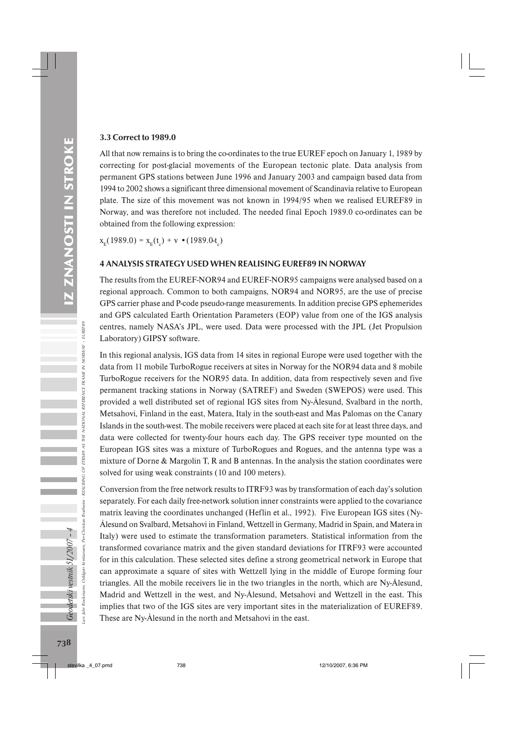#### 3.3 Correct to 1989.0

All that now remains is to bring the co-ordinates to the true EUREF epoch on January 1, 1989 by correcting for post-glacial movements of the European tectonic plate. Data analysis from permanent GPS stations between June 1996 and January 2003 and campaign based data from 1994 to 2002 shows a significant three dimensional movement of Scandinavia relative to European plate. The size of this movement was not known in 1994/95 when we realised EUREF89 in Norway, and was therefore not included. The needed final Epoch 1989.0 co-ordinates can be obtained from the following expression:

 $x_E(1989.0) = x_E(t_c) + v \cdot (1989.0-t_c)$ 

#### 4 ANALYSIS STRATEGY USED WHEN REALISING EUREF89 IN NORWAY

The results from the EUREF-NOR94 and EUREF-NOR95 campaigns were analysed based on a regional approach. Common to both campaigns, NOR94 and NOR95, are the use of precise GPS carrier phase and P-code pseudo-range measurements. In addition precise GPS ephemerides and GPS calculated Earth Orientation Parameters (EOP) value from one of the IGS analysis centres, namely NASA's JPL, were used. Data were processed with the JPL (Jet Propulsion Laboratory) GIPSY software.

In this regional analysis, IGS data from 14 sites in regional Europe were used together with the data from 11 mobile TurboRogue receivers at sites in Norway for the NOR94 data and 8 mobile TurboRogue receivers for the NOR95 data. In addition, data from respectively seven and five permanent tracking stations in Norway (SATREF) and Sweden (SWEPOS) were used. This provided a well distributed set of regional IGS sites from Ny-Ålesund, Svalbard in the north, Metsahovi, Finland in the east, Matera, Italy in the south-east and Mas Palomas on the Canary Islands in the south-west. The mobile receivers were placed at each site for at least three days, and data were collected for twenty-four hours each day. The GPS receiver type mounted on the European IGS sites was a mixture of TurboRogues and Rogues, and the antenna type was a mixture of Dorne  $\&$  Margolin T, R and B antennas. In the analysis the station coordinates were solved for using weak constraints (10 and 100 meters).

Conversion from the free network results to ITRF93 was by transformation of each day's solution separately. For each daily free-network solution inner constraints were applied to the covariance matrix leaving the coordinates unchanged (Heflin et al., 1992). Five European IGS sites (Ny-Alesund on Svalbard, Metsahovi in Finland, Wettzell in Germany, Madrid in Spain, and Matera in ° Italy) were used to estimate the transformation parameters. Statistical information from the transformed covariance matrix and the given standard deviations for ITRF93 were accounted for in this calculation. These selected sites define a strong geometrical network in Europe that can approximate a square of sites with Wettzell lying in the middle of Europe forming four triangles. All the mobile receivers lie in the two triangles in the north, which are Ny-Alesund, ° Madrid and Wettzell in the west, and Ny-Alesund, Metsahovi and Wettzell in the east. This ° implies that two of the IGS sites are very important sites in the materialization of EUREF89. These are Ny-Ålesund in the north and Metsahovi in the east.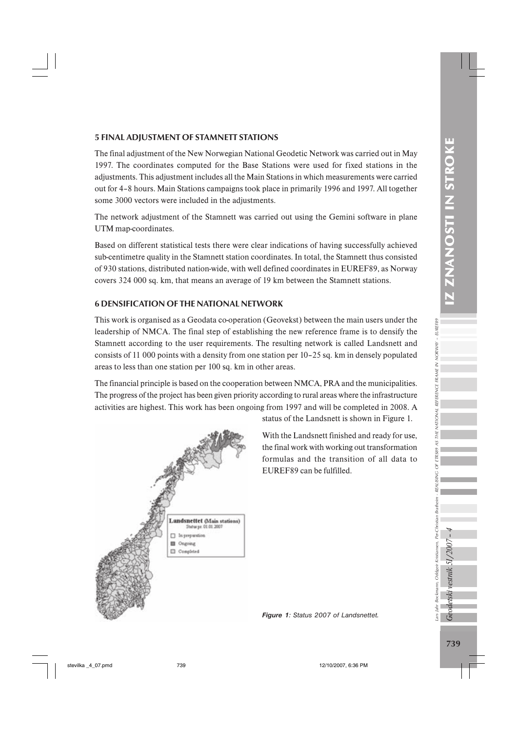# 5 FINAL ADJUSTMENT OF STAMNETT STATIONS

The final adjustment of the New Norwegian National Geodetic Network was carried out in May 1997. The coordinates computed for the Base Stations were used for fixed stations in the adjustments. This adjustment includes all the Main Stations in which measurements were carried out for 4–8 hours. Main Stations campaigns took place in primarily 1996 and 1997. All together some 3000 vectors were included in the adjustments.

The network adjustment of the Stamnett was carried out using the Gemini software in plane UTM map-coordinates.

Based on different statistical tests there were clear indications of having successfully achieved sub-centimetre quality in the Stamnett station coordinates. In total, the Stamnett thus consisted of 930 stations, distributed nation-wide, with well defined coordinates in EUREF89, as Norway covers 324 000 sq. km, that means an average of 19 km between the Stamnett stations.

## 6 DENSIFICATION OF THE NATIONAL NETWORK

This work is organised as a Geodata co-operation (Geovekst) between the main users under the leadership of NMCA. The final step of establishing the new reference frame is to densify the Stamnett according to the user requirements. The resulting network is called Landsnett and consists of 11 000 points with a density from one station per 10–25 sq. km in densely populated areas to less than one station per 100 sq. km in other areas.

The financial principle is based on the cooperation between NMCA, PRA and the municipalities. The progress of the project has been given priority according to rural areas where the infrastructure activities are highest. This work has been ongoing from 1997 and will be completed in 2008. A



status of the Landsnett is shown in Figure 1.

With the Landsnett finished and ready for use, the final work with working out transformation formulas and the transition of all data to EUREF89 can be fulfilled.

*Figure 1: Status 2007 of Landsnettet.*

detski vestnik 51/2007

 $\tilde{\mathcal{H}}$ 

Lars Jahr Bockmann, Oddgeir Kristiansen, Per-Christian Bratheim - REALISING OF ETRS89 AS THE NATIONAL REFERENCE FRAME IN NORWAY – EUREF89

ars Jahr Bockmann, Oddgeir Kristiansen, Per-Christian Bratheim - REALISING OF ETRS89 AS

THE NATIONAL REFERENCE FRAME IN NORWAY - EUREF89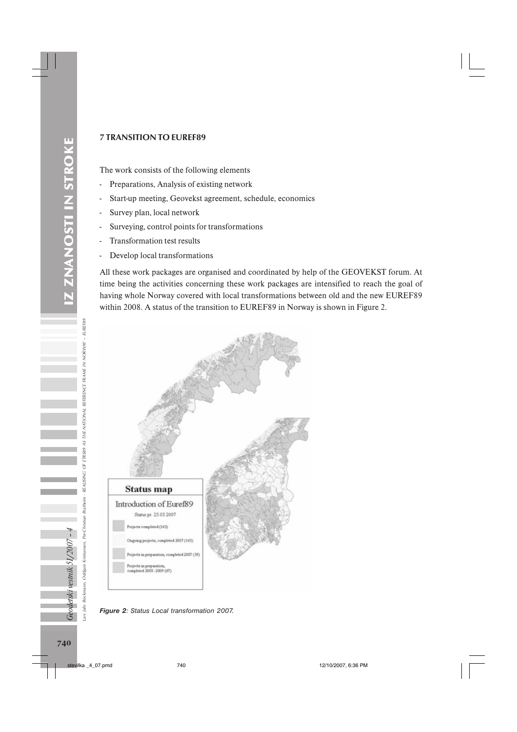# 7 TRANSITION TO EUREF89

The work consists of the following elements

- Preparations, Analysis of existing network
- Start-up meeting, Geovekst agreement, schedule, economics
- Survey plan, local network
- Surveying, control points for transformations
- Transformation test results
- Develop local transformations

All these work packages are organised and coordinated by help of the GEOVEKST forum. At time being the activities concerning these work packages are intensified to reach the goal of having whole Norway covered with local transformations between old and the new EUREF89 within 2008. A status of the transition to EUREF89 in Norway is shown in Figure 2.





Lars Jahr Bockmann, Oddgeir Kristiansen, Per-Christian Bratheim - REALISING OF ETRS89 AS THE NATIONAL REFERENCE FRAME IN NORWAY – EUREF89

**REALISING** 

Bratheim -

ars Jahr Bockmann, Oddgeir Kristiansen, Per-Christian

Geodetski vestnik 51/2007 - 4

OF ETRS89 AS THE NATIONAL REFERENCE FRAME IN NORWAY

 $-$  EUREF89